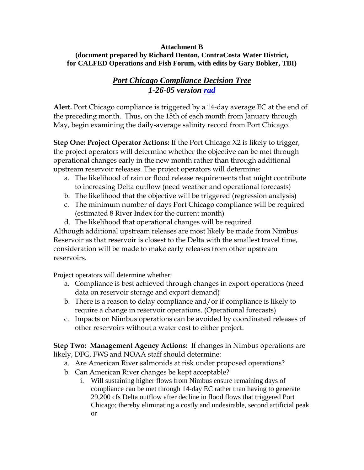## **Attachment B (document prepared by Richard Denton, ContraCosta Water District, for CALFED Operations and Fish Forum, with edits by Gary Bobker, TBI)**

## *Port Chicago Compliance Decision Tree 1-26-05 version rad*

**Alert.** Port Chicago compliance is triggered by a 14-day average EC at the end of the preceding month. Thus, on the 15th of each month from January through May, begin examining the daily-average salinity record from Port Chicago.

**Step One: Project Operator Actions:** If the Port Chicago X2 is likely to trigger, the project operators will determine whether the objective can be met through operational changes early in the new month rather than through additional upstream reservoir releases. The project operators will determine:

- a. The likelihood of rain or flood release requirements that might contribute to increasing Delta outflow (need weather and operational forecasts)
- b. The likelihood that the objective will be triggered (regression analysis)
- c. The minimum number of days Port Chicago compliance will be required (estimated 8 River Index for the current month)
- d. The likelihood that operational changes will be required

Although additional upstream releases are most likely be made from Nimbus Reservoir as that reservoir is closest to the Delta with the smallest travel time, consideration will be made to make early releases from other upstream reservoirs.

Project operators will determine whether:

- a. Compliance is best achieved through changes in export operations (need data on reservoir storage and export demand)
- b. There is a reason to delay compliance and/or if compliance is likely to require a change in reservoir operations. (Operational forecasts)
- c. Impacts on Nimbus operations can be avoided by coordinated releases of other reservoirs without a water cost to either project.

**Step Two: Management Agency Actions:** If changes in Nimbus operations are likely, DFG, FWS and NOAA staff should determine:

- a. Are American River salmonids at risk under proposed operations?
- b. Can American River changes be kept acceptable?
	- i. Will sustaining higher flows from Nimbus ensure remaining days of compliance can be met through 14-day EC rather than having to generate 29,200 cfs Delta outflow after decline in flood flows that triggered Port Chicago; thereby eliminating a costly and undesirable, second artificial peak or